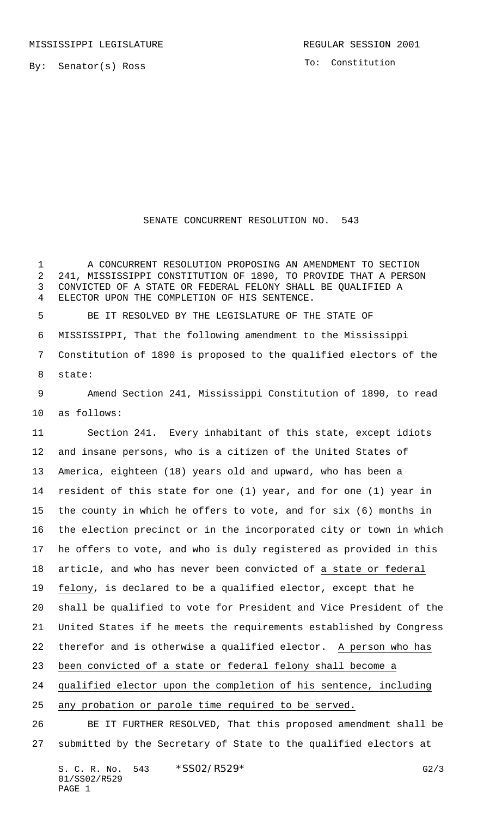By: Senator(s) Ross

To: Constitution

## SENATE CONCURRENT RESOLUTION NO. 543

 A CONCURRENT RESOLUTION PROPOSING AN AMENDMENT TO SECTION 241, MISSISSIPPI CONSTITUTION OF 1890, TO PROVIDE THAT A PERSON CONVICTED OF A STATE OR FEDERAL FELONY SHALL BE QUALIFIED A ELECTOR UPON THE COMPLETION OF HIS SENTENCE.

 BE IT RESOLVED BY THE LEGISLATURE OF THE STATE OF MISSISSIPPI, That the following amendment to the Mississippi Constitution of 1890 is proposed to the qualified electors of the state:

 Amend Section 241, Mississippi Constitution of 1890, to read as follows:

 Section 241. Every inhabitant of this state, except idiots and insane persons, who is a citizen of the United States of America, eighteen (18) years old and upward, who has been a resident of this state for one (1) year, and for one (1) year in the county in which he offers to vote, and for six (6) months in the election precinct or in the incorporated city or town in which he offers to vote, and who is duly registered as provided in this article, and who has never been convicted of a state or federal felony, is declared to be a qualified elector, except that he shall be qualified to vote for President and Vice President of the United States if he meets the requirements established by Congress 22 therefor and is otherwise a qualified elector. A person who has been convicted of a state or federal felony shall become a qualified elector upon the completion of his sentence, including any probation or parole time required to be served.

 BE IT FURTHER RESOLVED, That this proposed amendment shall be submitted by the Secretary of State to the qualified electors at

S. C. R. No. \*SS02/R529\* G2/3 01/SS02/R529 PAGE 1